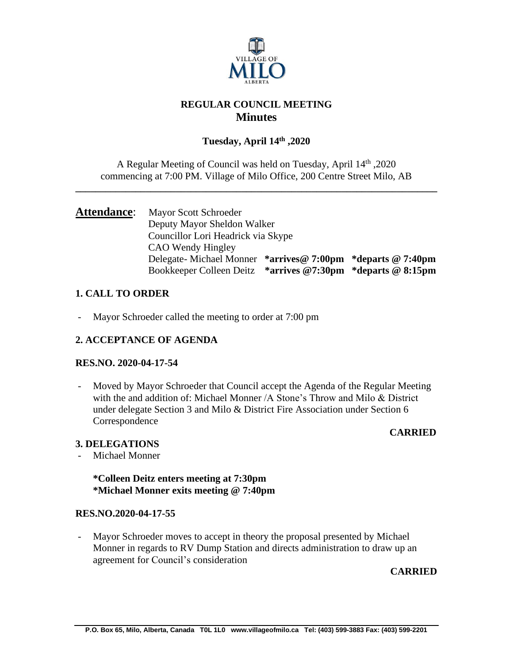

## **REGULAR COUNCIL MEETING Minutes**

## **Tuesday, April 14th ,2020**

A Regular Meeting of Council was held on Tuesday, April 14<sup>th</sup>, 2020 commencing at 7:00 PM. Village of Milo Office, 200 Centre Street Milo, AB

**\_\_\_\_\_\_\_\_\_\_\_\_\_\_\_\_\_\_\_\_\_\_\_\_\_\_\_\_\_\_\_\_\_\_\_\_\_\_\_\_\_\_\_\_\_\_\_\_\_\_\_\_\_\_\_\_\_\_\_\_\_\_\_\_\_\_\_\_\_\_\_\_**

## Attendance: Mayor Scott Schroeder Deputy Mayor Sheldon Walker Councillor Lori Headrick via Skype CAO Wendy Hingley Delegate- Michael Monner **\*arrives@ 7:00pm \*departs @ 7:40pm** Bookkeeper Colleen Deitz **\*arrives @7:30pm \*departs @ 8:15pm**

## **1. CALL TO ORDER**

Mayor Schroeder called the meeting to order at 7:00 pm

## **2. ACCEPTANCE OF AGENDA**

#### **RES.NO. 2020-04-17-54**

- Moved by Mayor Schroeder that Council accept the Agenda of the Regular Meeting with the and addition of: Michael Monner /A Stone's Throw and Milo & District under delegate Section 3 and Milo & District Fire Association under Section 6 Correspondence

#### **CARRIED**

**3. DELEGATIONS** - Michael Monner

## **\*Colleen Deitz enters meeting at 7:30pm \*Michael Monner exits meeting @ 7:40pm**

#### **RES.NO.2020-04-17-55**

- Mayor Schroeder moves to accept in theory the proposal presented by Michael Monner in regards to RV Dump Station and directs administration to draw up an agreement for Council's consideration

## **CARRIED**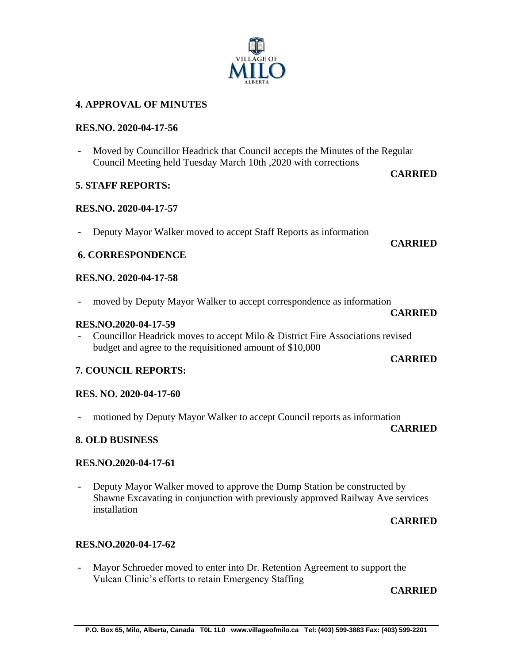#### **P.O. Box 65, Milo, Alberta, Canada T0L 1L0 www.villageofmilo.ca Tel: (403) 599-3883 Fax: (403) 599-2201**

## **4. APPROVAL OF MINUTES**

## **RES.NO. 2020-04-17-56**

Moved by Councillor Headrick that Council accepts the Minutes of the Regular Council Meeting held Tuesday March 10th ,2020 with corrections

## **5. STAFF REPORTS:**

## **RES.NO. 2020-04-17-57**

- Deputy Mayor Walker moved to accept Staff Reports as information

## **6. CORRESPONDENCE**

## **RES.NO. 2020-04-17-58**

- moved by Deputy Mayor Walker to accept correspondence as information

## **RES.NO.2020-04-17-59**

Councillor Headrick moves to accept Milo & District Fire Associations revised budget and agree to the requisitioned amount of \$10,000

## **7. COUNCIL REPORTS:**

## **RES. NO. 2020-04-17-60**

- motioned by Deputy Mayor Walker to accept Council reports as information

## **8. OLD BUSINESS**

## **RES.NO.2020-04-17-61**

- Deputy Mayor Walker moved to approve the Dump Station be constructed by Shawne Excavating in conjunction with previously approved Railway Ave services installation **CARRIED**

## **RES.NO.2020-04-17-62**

- Mayor Schroeder moved to enter into Dr. Retention Agreement to support the Vulcan Clinic's efforts to retain Emergency Staffing

## **CARRIED**



# **CARRIED**

#### **CARRIED**

## **CARRIED**

**CARRIED**

**CARRIED**